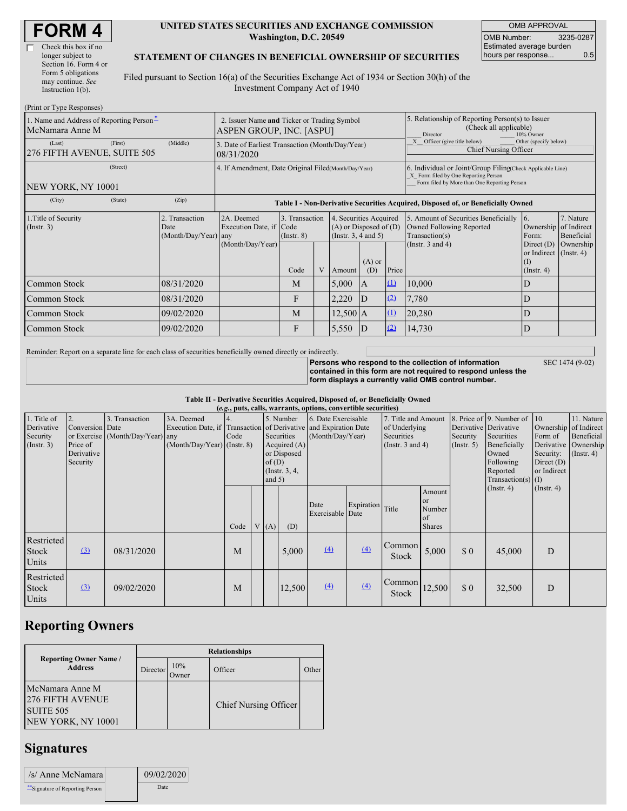(Print or Type Responses)

#### **UNITED STATES SECURITIES AND EXCHANGE COMMISSION Washington, D.C. 20549**

OMB APPROVAL OMB Number: 3235-0287 Estimated average burden hours per response... 0.5

### **STATEMENT OF CHANGES IN BENEFICIAL OWNERSHIP OF SECURITIES**

Filed pursuant to Section 16(a) of the Securities Exchange Act of 1934 or Section 30(h) of the Investment Company Act of 1940

| 1. Name and Address of Reporting Person-<br>McNamara Anne M |                                             |  | 2. Issuer Name and Ticker or Trading Symbol<br>ASPEN GROUP, INC. [ASPU]          |                                   |  |                                                                                  |                 |          | 5. Relationship of Reporting Person(s) to Issuer<br>(Check all applicable)<br>Director<br>10% Owner                                                                                                         |                         |                                      |  |
|-------------------------------------------------------------|---------------------------------------------|--|----------------------------------------------------------------------------------|-----------------------------------|--|----------------------------------------------------------------------------------|-----------------|----------|-------------------------------------------------------------------------------------------------------------------------------------------------------------------------------------------------------------|-------------------------|--------------------------------------|--|
| (First)<br>(Last)<br>276 FIFTH AVENUE, SUITE 505            | (Middle)                                    |  | 3. Date of Earliest Transaction (Month/Day/Year)<br>08/31/2020                   |                                   |  |                                                                                  |                 |          | Officer (give title below)<br>Other (specify below)<br><b>Chief Nursing Officer</b>                                                                                                                         |                         |                                      |  |
| (Street)<br>NEW YORK, NY 10001                              |                                             |  | 4. If Amendment, Date Original Filed(Month/Day/Year)                             |                                   |  |                                                                                  |                 |          | 6. Individual or Joint/Group Filing(Check Applicable Line)<br>X Form filed by One Reporting Person<br>Form filed by More than One Reporting Person                                                          |                         |                                      |  |
| (State)<br>(City)                                           | (Zip)                                       |  | Table I - Non-Derivative Securities Acquired, Disposed of, or Beneficially Owned |                                   |  |                                                                                  |                 |          |                                                                                                                                                                                                             |                         |                                      |  |
| 1. Title of Security<br>(Insert. 3)                         | Transaction<br>Date<br>(Month/Day/Year) any |  | 2A. Deemed<br>Execution Date, if Code<br>(Month/Day/Year)                        | 3. Transaction<br>$($ Instr. $8)$ |  | 4. Securities Acquired<br>$(A)$ or Disposed of $(D)$<br>(Instr. $3, 4$ and $5$ ) |                 |          | 5. Amount of Securities Beneficially<br>$\overline{6}$ .<br>Owned Following Reported<br>Ownership of Indirect<br>Transaction(s)<br>Form:<br>(Instr. $3$ and $4$ )<br>Direct $(D)$<br>or Indirect (Instr. 4) |                         | 7. Nature<br>Beneficial<br>Ownership |  |
|                                                             |                                             |  |                                                                                  | Code                              |  | Amount                                                                           | $(A)$ or<br>(D) | Price    |                                                                                                                                                                                                             | (I)<br>$($ Instr. 4 $)$ |                                      |  |
| Common Stock                                                | 08/31/2020                                  |  |                                                                                  | M                                 |  | 5,000                                                                            | A               | $\Omega$ | 10,000                                                                                                                                                                                                      | D                       |                                      |  |
| Common Stock                                                | 08/31/2020                                  |  |                                                                                  | F                                 |  | 2,220                                                                            | D               | (2)      | 7,780                                                                                                                                                                                                       | D                       |                                      |  |
| Common Stock                                                | 09/02/2020                                  |  |                                                                                  | M                                 |  | $12,500 \,   A$                                                                  |                 | $\Omega$ | 20,280                                                                                                                                                                                                      | D                       |                                      |  |
| Common Stock                                                | 09/02/2020                                  |  |                                                                                  | F                                 |  | 5,550                                                                            | ID              | (2)      | 14,730                                                                                                                                                                                                      | D                       |                                      |  |

Reminder: Report on a separate line for each class of securities beneficially owned directly or indirectly.

SEC 1474 (9-02)

**Persons who respond to the collection of information contained in this form are not required to respond unless the form displays a currently valid OMB control number.**

**Table II - Derivative Securities Acquired, Disposed of, or Beneficially Owned**

|                                                      | (e.g., puts, calls, warrants, options, convertible securities) |                                                    |                                             |                                                                                                                                                                              |  |                                         |        |                                                                             |                  |                                                  |                                                                                                                  |                                                            |                                                                                               |                  |  |
|------------------------------------------------------|----------------------------------------------------------------|----------------------------------------------------|---------------------------------------------|------------------------------------------------------------------------------------------------------------------------------------------------------------------------------|--|-----------------------------------------|--------|-----------------------------------------------------------------------------|------------------|--------------------------------------------------|------------------------------------------------------------------------------------------------------------------|------------------------------------------------------------|-----------------------------------------------------------------------------------------------|------------------|--|
| 1. Title of<br>Derivative<br>Security<br>(Insert. 3) | 2.<br>Conversion Date<br>Price of<br>Derivative<br>Security    | 3. Transaction<br>or Exercise (Month/Day/Year) any | 3A. Deemed<br>$(Month/Day/Year)$ (Instr. 8) | 5. Number<br>Execution Date, if Transaction of Derivative and Expiration Date<br>Securities<br>Code<br>Acquired $(A)$<br>or Disposed<br>of(D)<br>(Instr. $3, 4,$<br>and $5)$ |  | 6. Date Exercisable<br>(Month/Day/Year) |        | 7. Title and Amount<br>of Underlying<br>Securities<br>(Instr. $3$ and $4$ ) |                  | Derivative Derivative<br>Security<br>(Insert. 5) | 8. Price of 9. Number of<br>Securities<br>Beneficially<br>Owned<br>Following<br>Reported<br>Transaction(s) $(I)$ | 10.<br>Form of<br>Security:<br>Direct $(D)$<br>or Indirect | 11. Nature<br>Ownership of Indirect<br>Beneficial<br>Derivative Ownership<br>$($ Instr. 4 $)$ |                  |  |
|                                                      |                                                                |                                                    |                                             | Code                                                                                                                                                                         |  | V(A)                                    | (D)    | Date<br>Exercisable Date                                                    | Expiration Title |                                                  | Amount<br>or<br>Number<br>of<br><b>Shares</b>                                                                    | $($ Instr. 4 $)$                                           |                                                                                               | $($ Instr. 4 $)$ |  |
| Restricted<br><b>Stock</b><br>Units                  | $\left(3\right)$                                               | 08/31/2020                                         |                                             | M                                                                                                                                                                            |  |                                         | 5,000  | $\left(4\right)$                                                            | (4)              | Common<br>Stock                                  | 5,000                                                                                                            | \$0                                                        | 45,000                                                                                        | D                |  |
| Restricted<br>Stock<br>Units                         | $\Omega$                                                       | 09/02/2020                                         |                                             | M                                                                                                                                                                            |  |                                         | 12,500 | $\Delta$                                                                    | $\Delta$         | Common<br><b>Stock</b>                           | 12,500                                                                                                           | \$0                                                        | 32,500                                                                                        | D                |  |

# **Reporting Owners**

|                                                                               | <b>Relationships</b> |              |                              |       |  |  |  |  |  |
|-------------------------------------------------------------------------------|----------------------|--------------|------------------------------|-------|--|--|--|--|--|
| <b>Reporting Owner Name /</b><br><b>Address</b>                               | Director             | 10%<br>Owner | Officer                      | Other |  |  |  |  |  |
| McNamara Anne M<br><b>276 FIFTH AVENUE</b><br>SUITE 505<br>NEW YORK, NY 10001 |                      |              | <b>Chief Nursing Officer</b> |       |  |  |  |  |  |

# **Signatures**

| /s/ Anne McNamara                | 09/02/2020 |
|----------------------------------|------------|
| ** Signature of Reporting Person | Date       |